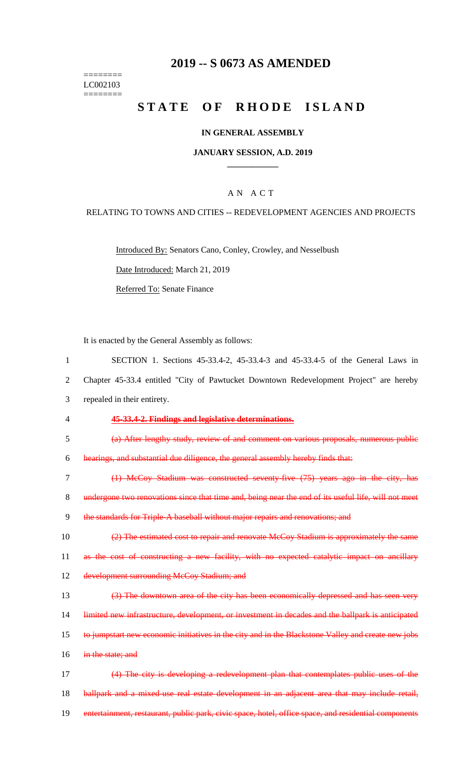#### ======== LC002103  $=$

## **2019 -- S 0673 AS AMENDED**

# STATE OF RHODE ISLAND

## **IN GENERAL ASSEMBLY**

### **JANUARY SESSION, A.D. 2019 \_\_\_\_\_\_\_\_\_\_\_\_**

## A N A C T

## RELATING TO TOWNS AND CITIES -- REDEVELOPMENT AGENCIES AND PROJECTS

Introduced By: Senators Cano, Conley, Crowley, and Nesselbush

Date Introduced: March 21, 2019

Referred To: Senate Finance

It is enacted by the General Assembly as follows:

| 1              | SECTION 1. Sections 45-33.4-2, 45-33.4-3 and 45-33.4-5 of the General Laws in                        |
|----------------|------------------------------------------------------------------------------------------------------|
| $\overline{2}$ | Chapter 45-33.4 entitled "City of Pawtucket Downtown Redevelopment Project" are hereby               |
| 3              | repealed in their entirety.                                                                          |
| 4              | 45-33.4-2. Findings and legislative determinations.                                                  |
| 5              | (a) After lengthy study, review of and comment on various proposals, numerous public                 |
| 6              | hearings, and substantial due diligence, the general assembly hereby finds that:                     |
| 7              | (1) McCoy Stadium was constructed seventy five (75) years ago in the city, has                       |
| 8              | undergone two renovations since that time and, being near the end of its useful life, will not meet  |
| 9              | the standards for Triple-A baseball without major repairs and renovations; and                       |
| 10             | (2) The estimated cost to repair and renovate McCoy Stadium is approximately the same                |
| 11             | as the cost of constructing a new facility, with no expected catalytic impact on ancillary           |
| 12             | development surrounding McCoy Stadium; and                                                           |
| 13             | (3) The downtown area of the city has been economically depressed and has seen very                  |
| 14             | limited new infrastructure, development, or investment in decades and the ballpark is anticipated    |
| 15             | to jumpstart new economic initiatives in the city and in the Blackstone Valley and create new jobs   |
| 16             | in the state; and                                                                                    |
| 17             | (4) The city is developing a redevelopment plan that contemplates public uses of the                 |
| 18             | ballpark and a mixed use real estate development in an adjacent area that may include retail,        |
| 19             | entertainment, restaurant, public park, civic space, hotel, office space, and residential components |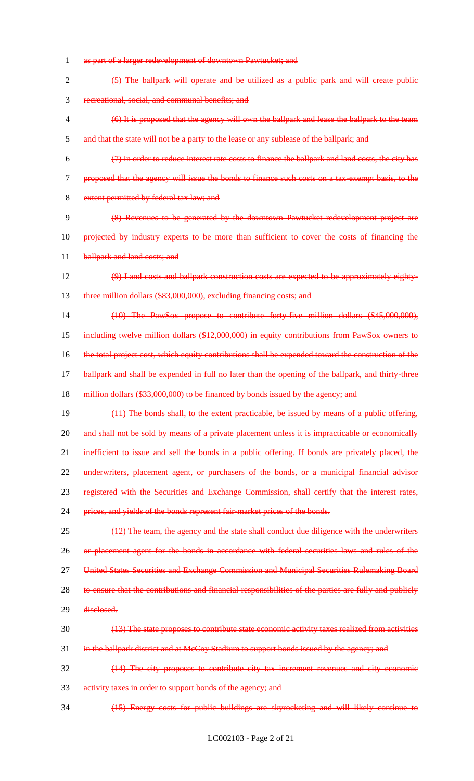1 as part of a larger redevelopment of downtown Pawtucket; and 2 (5) The ballpark will operate and be utilized as a public park and will create public 3 recreational, social, and communal benefits; and 4 (6) It is proposed that the agency will own the ballpark and lease the ballpark to the team 5 and that the state will not be a party to the lease or any sublease of the ballpark; and 6 (7) In order to reduce interest rate costs to finance the ballpark and land costs, the city has 7 proposed that the agency will issue the bonds to finance such costs on a tax-exempt basis, to the 8 extent permitted by federal tax law; and 9 (8) Revenues to be generated by the downtown Pawtucket redevelopment project are 10 projected by industry experts to be more than sufficient to cover the costs of financing the 11 ballpark and land costs; and 12 (9) Land costs and ballpark construction costs are expected to be approximately eighty-13 three million dollars (\$83,000,000), excluding financing costs; and 14 (10) The PawSox propose to contribute forty-five million dollars (\$45,000,000), 15 including twelve million dollars (\$12,000,000) in equity contributions from PawSox owners to 16 the total project cost, which equity contributions shall be expended toward the construction of the 17 ballpark and shall be expended in full no later than the opening of the ballpark, and thirty-three 18 million dollars (\$33,000,000) to be financed by bonds issued by the agency; and 19 (11) The bonds shall, to the extent practicable, be issued by means of a public offering, 20 and shall not be sold by means of a private placement unless it is impracticable or economically 21 inefficient to issue and sell the bonds in a public offering. If bonds are privately placed, the 22 underwriters, placement agent, or purchasers of the bonds, or a municipal financial advisor 23 registered with the Securities and Exchange Commission, shall certify that the interest rates, 24 prices, and yields of the bonds represent fair-market prices of the bonds. 25 (12) The team, the agency and the state shall conduct due diligence with the underwriters 26 or placement agent for the bonds in accordance with federal securities laws and rules of the 27 United States Securities and Exchange Commission and Municipal Securities Rulemaking Board 28 to ensure that the contributions and financial responsibilities of the parties are fully and publicly 29 disclosed. 30 (13) The state proposes to contribute state economic activity taxes realized from activities 31 in the ballpark district and at McCoy Stadium to support bonds issued by the agency; and 32 (14) The city proposes to contribute city tax increment revenues and city economic 33 activity taxes in order to support bonds of the agency; and 34 (15) Energy costs for public buildings are skyrocketing and will likely continue to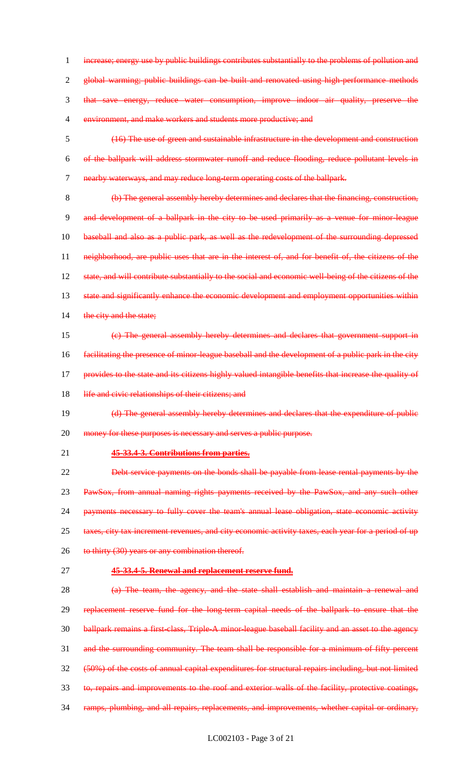increase; energy use by public buildings contributes substantially to the problems of pollution and global warming; public buildings can be built and renovated using high-performance methods that save energy, reduce water consumption, improve indoor air quality, preserve the environment, and make workers and students more productive; and

 (16) The use of green and sustainable infrastructure in the development and construction of the ballpark will address stormwater runoff and reduce flooding, reduce pollutant levels in nearby waterways, and may reduce long-term operating costs of the ballpark.

 (b) The general assembly hereby determines and declares that the financing, construction, and development of a ballpark in the city to be used primarily as a venue for minor-league baseball and also as a public park, as well as the redevelopment of the surrounding depressed neighborhood, are public uses that are in the interest of, and for benefit of, the citizens of the 12 state, and will contribute substantially to the social and economic well being of the citizens of the 13 state and significantly enhance the economic development and employment opportunities within 14 the city and the state;

 (c) The general assembly hereby determines and declares that government support in facilitating the presence of minor-league baseball and the development of a public park in the city provides to the state and its citizens highly valued intangible benefits that increase the quality of 18 life and civic relationships of their citizens; and

19 (d) The general assembly hereby determines and declares that the expenditure of public 20 money for these purposes is necessary and serves a public purpose.

**45-33.4-3. Contributions from parties.**

 Debt service payments on the bonds shall be payable from lease rental payments by the PawSox, from annual naming rights payments received by the PawSox, and any such other 24 payments necessary to fully cover the team's annual lease obligation, state economic activity 25 taxes, city tax increment revenues, and city economic activity taxes, each year for a period of up 26 to thirty (30) years or any combination thereof.

**45-33.4-5. Renewal and replacement reserve fund.**

 (a) The team, the agency, and the state shall establish and maintain a renewal and replacement reserve fund for the long-term capital needs of the ballpark to ensure that the 30 ballpark remains a first-class, Triple-A minor-league baseball facility and an asset to the agency 31 and the surrounding community. The team shall be responsible for a minimum of fifty percent (50%) of the costs of annual capital expenditures for structural repairs including, but not limited to, repairs and improvements to the roof and exterior walls of the facility, protective coatings, ramps, plumbing, and all repairs, replacements, and improvements, whether capital or ordinary,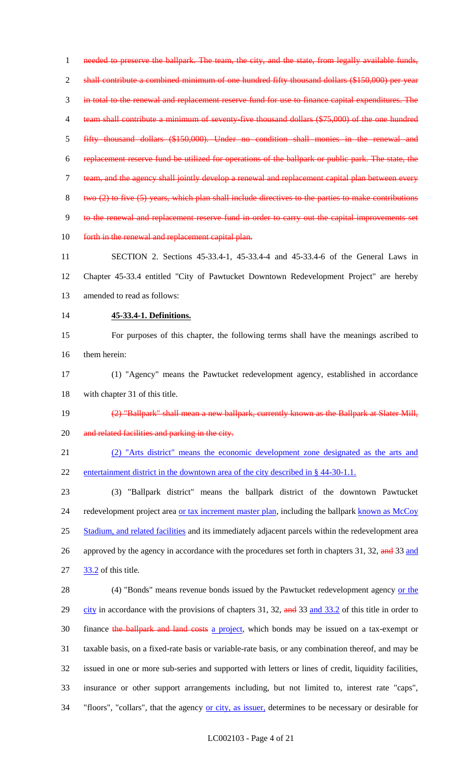1 needed to preserve the ballpark. The team, the city, and the state, from legally available funds, shall contribute a combined minimum of one hundred fifty thousand dollars (\$150,000) per year in total to the renewal and replacement reserve fund for use to finance capital expenditures. The 4 team shall contribute a minimum of seventy-five thousand dollars (\$75,000) of the one hundred fifty thousand dollars (\$150,000). Under no condition shall monies in the renewal and replacement reserve fund be utilized for operations of the ballpark or public park. The state, the team, and the agency shall jointly develop a renewal and replacement capital plan between every two (2) to five (5) years, which plan shall include directives to the parties to make contributions to the renewal and replacement reserve fund in order to carry out the capital improvements set 10 forth in the renewal and replacement capital plan. SECTION 2. Sections 45-33.4-1, 45-33.4-4 and 45-33.4-6 of the General Laws in

 Chapter 45-33.4 entitled "City of Pawtucket Downtown Redevelopment Project" are hereby amended to read as follows:

#### **45-33.4-1. Definitions.**

 For purposes of this chapter, the following terms shall have the meanings ascribed to them herein:

 (1) "Agency" means the Pawtucket redevelopment agency, established in accordance with chapter 31 of this title.

(2) "Ballpark" shall mean a new ballpark, currently known as the Ballpark at Slater Mill,

20 and related facilities and parking in the city.

(2) "Arts district" means the economic development zone designated as the arts and

22 entertainment district in the downtown area of the city described in § 44-30-1.1.

 (3) "Ballpark district" means the ballpark district of the downtown Pawtucket 24 redevelopment project area or tax increment master plan, including the ballpark known as McCoy Stadium, and related facilities and its immediately adjacent parcels within the redevelopment area 26 approved by the agency in accordance with the procedures set forth in chapters 31, 32, and 33 and 33.2 of this title.

28 (4) "Bonds" means revenue bonds issued by the Pawtucket redevelopment agency or the 29 city in accordance with the provisions of chapters 31, 32, and 33 and 33.2 of this title in order to 30 finance the ballpark and land costs a project, which bonds may be issued on a tax-exempt or taxable basis, on a fixed-rate basis or variable-rate basis, or any combination thereof, and may be issued in one or more sub-series and supported with letters or lines of credit, liquidity facilities, insurance or other support arrangements including, but not limited to, interest rate "caps", 34 "floors", "collars", that the agency or city, as issuer, determines to be necessary or desirable for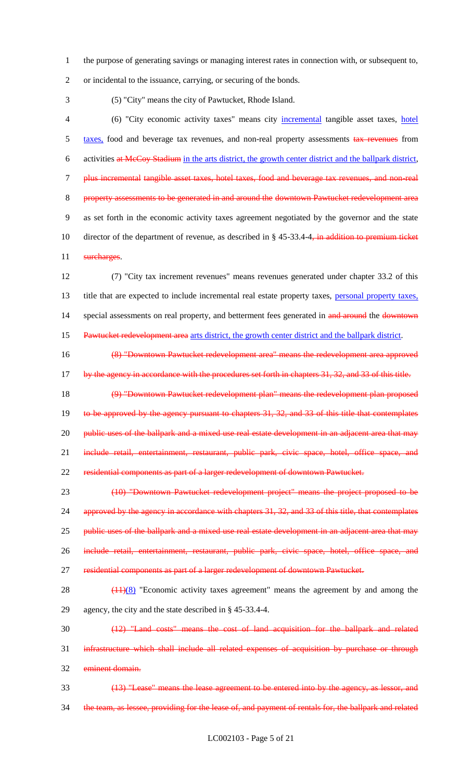1 the purpose of generating savings or managing interest rates in connection with, or subsequent to,

2 or incidental to the issuance, carrying, or securing of the bonds.

3 (5) "City" means the city of Pawtucket, Rhode Island.

4 (6) "City economic activity taxes" means city incremental tangible asset taxes, hotel 5 taxes, food and beverage tax revenues, and non-real property assessments tax revenues from 6 activities at McCoy Stadium in the arts district, the growth center district and the ballpark district, 7 plus incremental tangible asset taxes, hotel taxes, food and beverage tax revenues, and non-real 8 property assessments to be generated in and around the downtown Pawtucket redevelopment area 9 as set forth in the economic activity taxes agreement negotiated by the governor and the state 10 director of the department of revenue, as described in § 45-33.4-4, in addition to premium ticket 11 surcharges.

12 (7) "City tax increment revenues" means revenues generated under chapter 33.2 of this 13 title that are expected to include incremental real estate property taxes, personal property taxes, 14 special assessments on real property, and betterment fees generated in and around the downtown 15 Pawtucket redevelopment area arts district, the growth center district and the ballpark district.

16 (8) "Downtown Pawtucket redevelopment area" means the redevelopment area approved

17 by the agency in accordance with the procedures set forth in chapters 31, 32, and 33 of this title. 18 (9) "Downtown Pawtucket redevelopment plan" means the redevelopment plan proposed

19 to be approved by the agency pursuant to chapters 31, 32, and 33 of this title that contemplates 20 public uses of the ballpark and a mixed use real estate development in an adjacent area that may 21 include retail, entertainment, restaurant, public park, civic space, hotel, office space, and 22 residential components as part of a larger redevelopment of downtown Pawtucket.

23 (10) "Downtown Pawtucket redevelopment project" means the project proposed to be 24 approved by the agency in accordance with chapters 31, 32, and 33 of this title, that contemplates 25 public uses of the ballpark and a mixed use real estate development in an adjacent area that may 26 include retail, entertainment, restaurant, public park, civic space, hotel, office space, and 27 residential components as part of a larger redevelopment of downtown Pawtucket.

28 (11)(8) "Economic activity taxes agreement" means the agreement by and among the 29 agency, the city and the state described in § 45-33.4-4.

30 (12) "Land costs" means the cost of land acquisition for the ballpark and related 31 infrastructure which shall include all related expenses of acquisition by purchase or through 32 eminent domain.

33 (13) "Lease" means the lease agreement to be entered into by the agency, as lessor, and 34 the team, as lessee, providing for the lease of, and payment of rentals for, the ballpark and related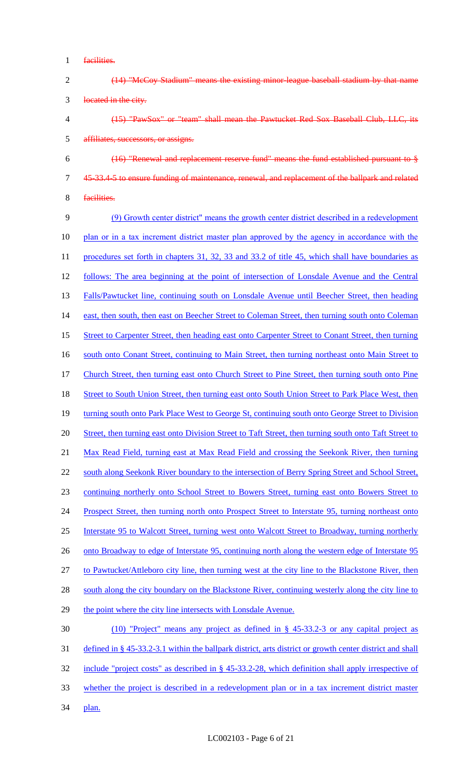1 facilities.

| (14) "McCoy Stadium" means the existing minor league baseball stadium by that name |
|------------------------------------------------------------------------------------|
| located in the city.                                                               |

- 4 (15) "PawSox" or "team" shall mean the Pawtucket Red Sox Baseball Club, LLC, its 5 affiliates, successors, or assigns.
- 6 (16) "Renewal and replacement reserve fund" means the fund established pursuant to § 7 45-33.4-5 to ensure funding of maintenance, renewal, and replacement of the ballpark and related
- 8 facilities.

9 (9) Growth center district" means the growth center district described in a redevelopment 10 plan or in a tax increment district master plan approved by the agency in accordance with the 11 procedures set forth in chapters 31, 32, 33 and 33.2 of title 45, which shall have boundaries as 12 follows: The area beginning at the point of intersection of Lonsdale Avenue and the Central 13 Falls/Pawtucket line, continuing south on Lonsdale Avenue until Beecher Street, then heading 14 east, then south, then east on Beecher Street to Coleman Street, then turning south onto Coleman 15 Street to Carpenter Street, then heading east onto Carpenter Street to Conant Street, then turning 16 south onto Conant Street, continuing to Main Street, then turning northeast onto Main Street to 17 Church Street, then turning east onto Church Street to Pine Street, then turning south onto Pine 18 Street to South Union Street, then turning east onto South Union Street to Park Place West, then 19 turning south onto Park Place West to George St, continuing south onto George Street to Division 20 Street, then turning east onto Division Street to Taft Street, then turning south onto Taft Street to 21 Max Read Field, turning east at Max Read Field and crossing the Seekonk River, then turning 22 south along Seekonk River boundary to the intersection of Berry Spring Street and School Street, 23 continuing northerly onto School Street to Bowers Street, turning east onto Bowers Street to 24 Prospect Street, then turning north onto Prospect Street to Interstate 95, turning northeast onto 25 Interstate 95 to Walcott Street, turning west onto Walcott Street to Broadway, turning northerly 26 onto Broadway to edge of Interstate 95, continuing north along the western edge of Interstate 95 27 to Pawtucket/Attleboro city line, then turning west at the city line to the Blackstone River, then 28 south along the city boundary on the Blackstone River, continuing westerly along the city line to 29 the point where the city line intersects with Lonsdale Avenue. 30 (10) "Project" means any project as defined in § 45-33.2-3 or any capital project as 31 defined in § 45-33.2-3.1 within the ballpark district, arts district or growth center district and shall

- 32 include "project costs" as described in § 45-33.2-28, which definition shall apply irrespective of
- 33 whether the project is described in a redevelopment plan or in a tax increment district master
- 34 plan.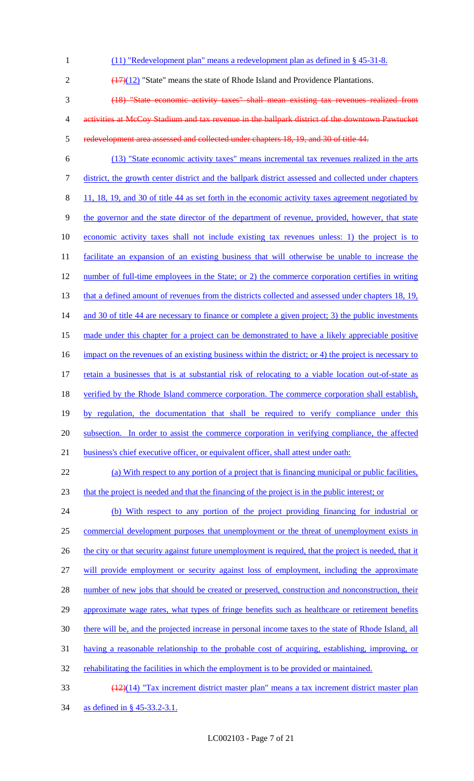(11) "Redevelopment plan" means a redevelopment plan as defined in § 45-31-8.  $\left(\frac{(17)(12)}{(17)(12)}\right)$  "State" means the state of Rhode Island and Providence Plantations. (18) "State economic activity taxes" shall mean existing tax revenues realized from activities at McCoy Stadium and tax revenue in the ballpark district of the downtown Pawtucket redevelopment area assessed and collected under chapters 18, 19, and 30 of title 44. (13) "State economic activity taxes" means incremental tax revenues realized in the arts district, the growth center district and the ballpark district assessed and collected under chapters 8 11, 18, 19, and 30 of title 44 as set forth in the economic activity taxes agreement negotiated by the governor and the state director of the department of revenue, provided, however, that state economic activity taxes shall not include existing tax revenues unless: 1) the project is to facilitate an expansion of an existing business that will otherwise be unable to increase the 12 number of full-time employees in the State; or 2) the commerce corporation certifies in writing 13 that a defined amount of revenues from the districts collected and assessed under chapters 18, 19, 14 and 30 of title 44 are necessary to finance or complete a given project; 3) the public investments 15 made under this chapter for a project can be demonstrated to have a likely appreciable positive 16 impact on the revenues of an existing business within the district; or 4) the project is necessary to retain a businesses that is at substantial risk of relocating to a viable location out-of-state as 18 verified by the Rhode Island commerce corporation. The commerce corporation shall establish, by regulation, the documentation that shall be required to verify compliance under this 20 subsection. In order to assist the commerce corporation in verifying compliance, the affected 21 business's chief executive officer, or equivalent officer, shall attest under oath: (a) With respect to any portion of a project that is financing municipal or public facilities, that the project is needed and that the financing of the project is in the public interest; or (b) With respect to any portion of the project providing financing for industrial or commercial development purposes that unemployment or the threat of unemployment exists in 26 the city or that security against future unemployment is required, that the project is needed, that it will provide employment or security against loss of employment, including the approximate 28 number of new jobs that should be created or preserved, construction and nonconstruction, their 29 approximate wage rates, what types of fringe benefits such as healthcare or retirement benefits there will be, and the projected increase in personal income taxes to the state of Rhode Island, all having a reasonable relationship to the probable cost of acquiring, establishing, improving, or 32 rehabilitating the facilities in which the employment is to be provided or maintained. (12)(14) "Tax increment district master plan" means a tax increment district master plan as defined in § 45-33.2-3.1.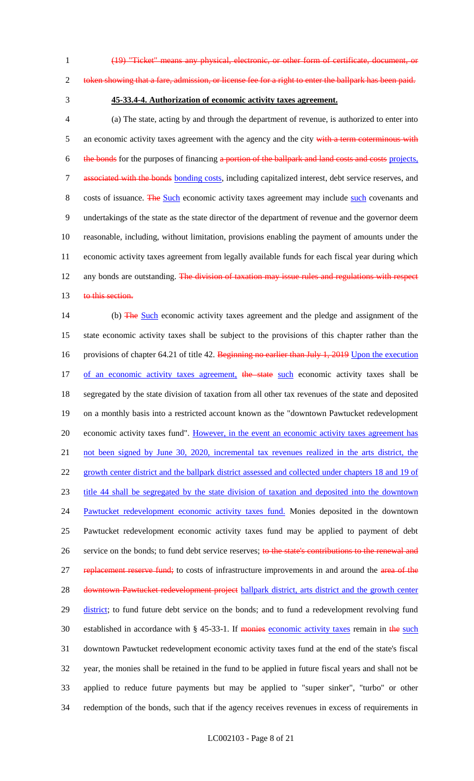1 (19) "Ticket" means any physical, electronic, or other form of certificate, document, or

#### 2 token showing that a fare, admission, or license fee for a right to enter the ballpark has been paid.

## 3 **45-33.4-4. Authorization of economic activity taxes agreement.**

4 (a) The state, acting by and through the department of revenue, is authorized to enter into 5 an economic activity taxes agreement with the agency and the city with a term coterminous with 6 the bonds for the purposes of financing a portion of the ballpark and land costs and costs projects, 7 associated with the bonds bonding costs, including capitalized interest, debt service reserves, and 8 costs of issuance. The Such economic activity taxes agreement may include such covenants and 9 undertakings of the state as the state director of the department of revenue and the governor deem 10 reasonable, including, without limitation, provisions enabling the payment of amounts under the 11 economic activity taxes agreement from legally available funds for each fiscal year during which 12 any bonds are outstanding. The division of taxation may issue rules and regulations with respect 13 to this section.

14 (b) The Such economic activity taxes agreement and the pledge and assignment of the 15 state economic activity taxes shall be subject to the provisions of this chapter rather than the 16 provisions of chapter 64.21 of title 42. Beginning no earlier than July 1, 2019 Upon the execution 17 of an economic activity taxes agreement, the state such economic activity taxes shall be 18 segregated by the state division of taxation from all other tax revenues of the state and deposited 19 on a monthly basis into a restricted account known as the "downtown Pawtucket redevelopment 20 economic activity taxes fund". However, in the event an economic activity taxes agreement has 21 not been signed by June 30, 2020, incremental tax revenues realized in the arts district, the 22 growth center district and the ballpark district assessed and collected under chapters 18 and 19 of 23 title 44 shall be segregated by the state division of taxation and deposited into the downtown 24 Pawtucket redevelopment economic activity taxes fund. Monies deposited in the downtown 25 Pawtucket redevelopment economic activity taxes fund may be applied to payment of debt 26 service on the bonds; to fund debt service reserves; to the state's contributions to the renewal and 27 replacement reserve fund; to costs of infrastructure improvements in and around the area of the 28 downtown Pawtucket redevelopment project ballpark district, arts district and the growth center 29 district; to fund future debt service on the bonds; and to fund a redevelopment revolving fund 30 established in accordance with § 45-33-1. If monies economic activity taxes remain in the such 31 downtown Pawtucket redevelopment economic activity taxes fund at the end of the state's fiscal 32 year, the monies shall be retained in the fund to be applied in future fiscal years and shall not be 33 applied to reduce future payments but may be applied to "super sinker", "turbo" or other 34 redemption of the bonds, such that if the agency receives revenues in excess of requirements in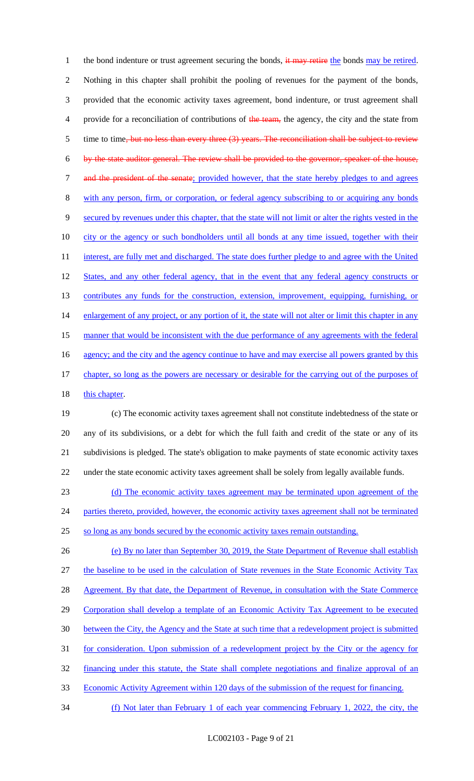1 the bond indenture or trust agreement securing the bonds, it may retire the bonds may be retired. 2 Nothing in this chapter shall prohibit the pooling of revenues for the payment of the bonds, 3 provided that the economic activity taxes agreement, bond indenture, or trust agreement shall 4 provide for a reconciliation of contributions of the team, the agency, the city and the state from 5 time to time, but no less than every three (3) years. The reconciliation shall be subject to review 6 by the state auditor general. The review shall be provided to the governor, speaker of the house, 7 and the president of the senate; provided however, that the state hereby pledges to and agrees 8 with any person, firm, or corporation, or federal agency subscribing to or acquiring any bonds 9 secured by revenues under this chapter, that the state will not limit or alter the rights vested in the 10 city or the agency or such bondholders until all bonds at any time issued, together with their 11 interest, are fully met and discharged. The state does further pledge to and agree with the United 12 States, and any other federal agency, that in the event that any federal agency constructs or 13 contributes any funds for the construction, extension, improvement, equipping, furnishing, or 14 enlargement of any project, or any portion of it, the state will not alter or limit this chapter in any 15 manner that would be inconsistent with the due performance of any agreements with the federal 16 agency; and the city and the agency continue to have and may exercise all powers granted by this 17 chapter, so long as the powers are necessary or desirable for the carrying out of the purposes of 18 this chapter.

 (c) The economic activity taxes agreement shall not constitute indebtedness of the state or any of its subdivisions, or a debt for which the full faith and credit of the state or any of its subdivisions is pledged. The state's obligation to make payments of state economic activity taxes under the state economic activity taxes agreement shall be solely from legally available funds.

23 (d) The economic activity taxes agreement may be terminated upon agreement of the 24 parties thereto, provided, however, the economic activity taxes agreement shall not be terminated 25 so long as any bonds secured by the economic activity taxes remain outstanding.

 (e) By no later than September 30, 2019, the State Department of Revenue shall establish the baseline to be used in the calculation of State revenues in the State Economic Activity Tax 28 Agreement. By that date, the Department of Revenue, in consultation with the State Commerce 29 Corporation shall develop a template of an Economic Activity Tax Agreement to be executed between the City, the Agency and the State at such time that a redevelopment project is submitted for consideration. Upon submission of a redevelopment project by the City or the agency for financing under this statute, the State shall complete negotiations and finalize approval of an Economic Activity Agreement within 120 days of the submission of the request for financing. (f) Not later than February 1 of each year commencing February 1, 2022, the city, the

LC002103 - Page 9 of 21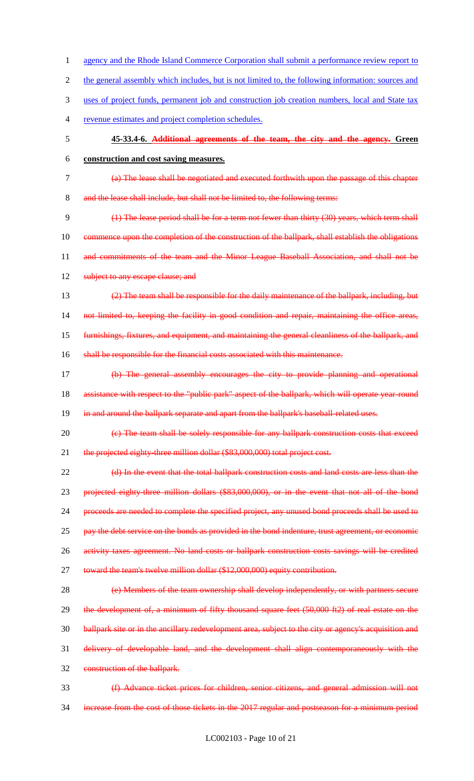1 agency and the Rhode Island Commerce Corporation shall submit a performance review report to 2 the general assembly which includes, but is not limited to, the following information: sources and 3 uses of project funds, permanent job and construction job creation numbers, local and State tax 4 revenue estimates and project completion schedules. 5 **45-33.4-6. Additional agreements of the team, the city and the agency. Green**  6 **construction and cost saving measures.** 7 (a) The lease shall be negotiated and executed forthwith upon the passage of this chapter 8 and the lease shall include, but shall not be limited to, the following terms: 9 (1) The lease period shall be for a term not fewer than thirty (30) years, which term shall 10 commence upon the completion of the construction of the ballpark, shall establish the obligations 11 and commitments of the team and the Minor League Baseball Association, and shall not be 12 subject to any escape clause; and 13 (2) The team shall be responsible for the daily maintenance of the ballpark, including, but 14 not limited to, keeping the facility in good condition and repair, maintaining the office areas, 15 furnishings, fixtures, and equipment, and maintaining the general cleanliness of the ballpark, and 16 shall be responsible for the financial costs associated with this maintenance. 17 (b) The general assembly encourages the city to provide planning and operational 18 assistance with respect to the "public park" aspect of the ballpark, which will operate year-round 19 in and around the ballpark separate and apart from the ballpark's baseball-related uses. 20 (c) The team shall be solely responsible for any ballpark construction costs that exceed 21 the projected eighty-three million dollar (\$83,000,000) total project cost. 22 (d) In the event that the total ballpark construction costs and land costs are less than the 23 projected eighty-three million dollars (\$83,000,000), or in the event that not all of the bond 24 proceeds are needed to complete the specified project, any unused bond proceeds shall be used to 25 pay the debt service on the bonds as provided in the bond indenture, trust agreement, or economic 26 activity taxes agreement. No land costs or ballpark construction costs savings will be credited 27 toward the team's twelve million dollar (\$12,000,000) equity contribution. 28 (e) Members of the team ownership shall develop independently, or with partners secure 29 the development of, a minimum of fifty thousand square feet (50,000 ft2) of real estate on the 30 ballpark site or in the ancillary redevelopment area, subject to the city or agency's acquisition and 31 delivery of developable land, and the development shall align contemporaneously with the 32 construction of the ballpark. 33 (f) Advance ticket prices for children, senior citizens, and general admission will not 34 increase from the cost of those tickets in the 2017 regular and postseason for a minimum period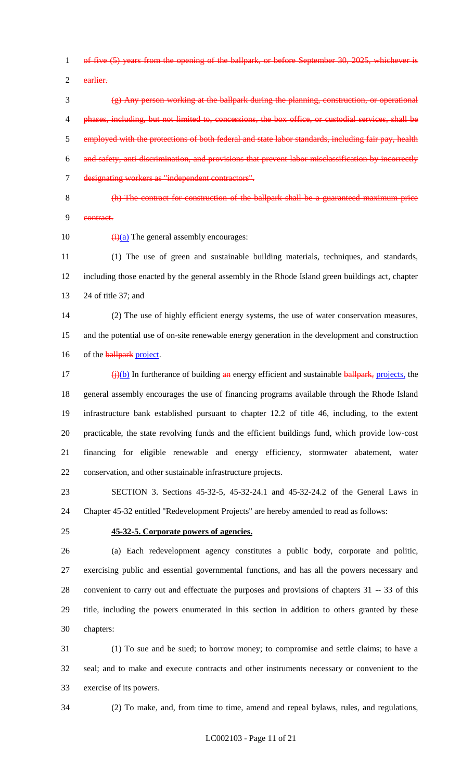of five (5) years from the opening of the ballpark, or before September 30, 2025, whichever is

earlier.

 (g) Any person working at the ballpark during the planning, construction, or operational phases, including, but not limited to, concessions, the box office, or custodial services, shall be 5 employed with the protections of both federal and state labor standards, including fair pay, health and safety, anti-discrimination, and provisions that prevent labor misclassification by incorrectly designating workers as "independent contractors".

 (h) The contract for construction of the ballpark shall be a guaranteed maximum price contract.

10  $\left(\frac{1}{2}\right)$  The general assembly encourages:

 (1) The use of green and sustainable building materials, techniques, and standards, including those enacted by the general assembly in the Rhode Island green buildings act, chapter 24 of title 37; and

 (2) The use of highly efficient energy systems, the use of water conservation measures, and the potential use of on-site renewable energy generation in the development and construction 16 of the ballpark project.

 $\frac{17}{2}$  (i)(b) In furtherance of building an energy efficient and sustainable ballpark, projects, the general assembly encourages the use of financing programs available through the Rhode Island infrastructure bank established pursuant to chapter 12.2 of title 46, including, to the extent practicable, the state revolving funds and the efficient buildings fund, which provide low-cost financing for eligible renewable and energy efficiency, stormwater abatement, water conservation, and other sustainable infrastructure projects.

 SECTION 3. Sections 45-32-5, 45-32-24.1 and 45-32-24.2 of the General Laws in Chapter 45-32 entitled "Redevelopment Projects" are hereby amended to read as follows:

#### **45-32-5. Corporate powers of agencies.**

 (a) Each redevelopment agency constitutes a public body, corporate and politic, exercising public and essential governmental functions, and has all the powers necessary and convenient to carry out and effectuate the purposes and provisions of chapters 31 -- 33 of this title, including the powers enumerated in this section in addition to others granted by these chapters:

 (1) To sue and be sued; to borrow money; to compromise and settle claims; to have a seal; and to make and execute contracts and other instruments necessary or convenient to the exercise of its powers.

(2) To make, and, from time to time, amend and repeal bylaws, rules, and regulations,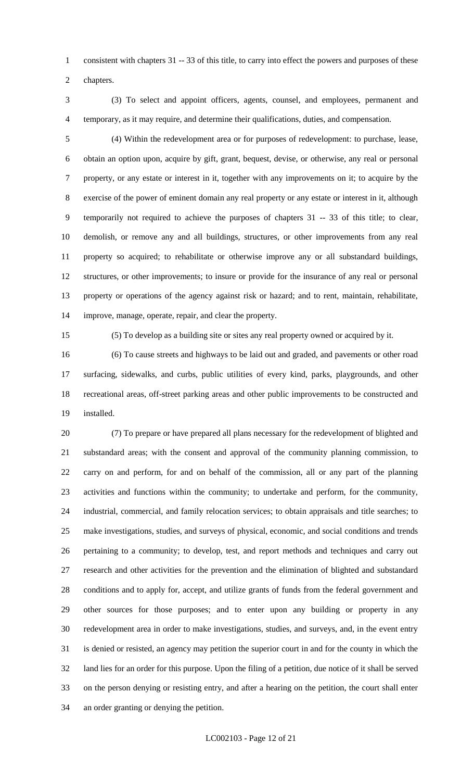consistent with chapters 31 -- 33 of this title, to carry into effect the powers and purposes of these

chapters.

 (3) To select and appoint officers, agents, counsel, and employees, permanent and temporary, as it may require, and determine their qualifications, duties, and compensation.

 (4) Within the redevelopment area or for purposes of redevelopment: to purchase, lease, obtain an option upon, acquire by gift, grant, bequest, devise, or otherwise, any real or personal property, or any estate or interest in it, together with any improvements on it; to acquire by the exercise of the power of eminent domain any real property or any estate or interest in it, although temporarily not required to achieve the purposes of chapters 31 -- 33 of this title; to clear, demolish, or remove any and all buildings, structures, or other improvements from any real property so acquired; to rehabilitate or otherwise improve any or all substandard buildings, structures, or other improvements; to insure or provide for the insurance of any real or personal property or operations of the agency against risk or hazard; and to rent, maintain, rehabilitate, improve, manage, operate, repair, and clear the property.

(5) To develop as a building site or sites any real property owned or acquired by it.

 (6) To cause streets and highways to be laid out and graded, and pavements or other road surfacing, sidewalks, and curbs, public utilities of every kind, parks, playgrounds, and other recreational areas, off-street parking areas and other public improvements to be constructed and installed.

 (7) To prepare or have prepared all plans necessary for the redevelopment of blighted and substandard areas; with the consent and approval of the community planning commission, to carry on and perform, for and on behalf of the commission, all or any part of the planning activities and functions within the community; to undertake and perform, for the community, industrial, commercial, and family relocation services; to obtain appraisals and title searches; to make investigations, studies, and surveys of physical, economic, and social conditions and trends pertaining to a community; to develop, test, and report methods and techniques and carry out research and other activities for the prevention and the elimination of blighted and substandard conditions and to apply for, accept, and utilize grants of funds from the federal government and other sources for those purposes; and to enter upon any building or property in any redevelopment area in order to make investigations, studies, and surveys, and, in the event entry is denied or resisted, an agency may petition the superior court in and for the county in which the land lies for an order for this purpose. Upon the filing of a petition, due notice of it shall be served on the person denying or resisting entry, and after a hearing on the petition, the court shall enter an order granting or denying the petition.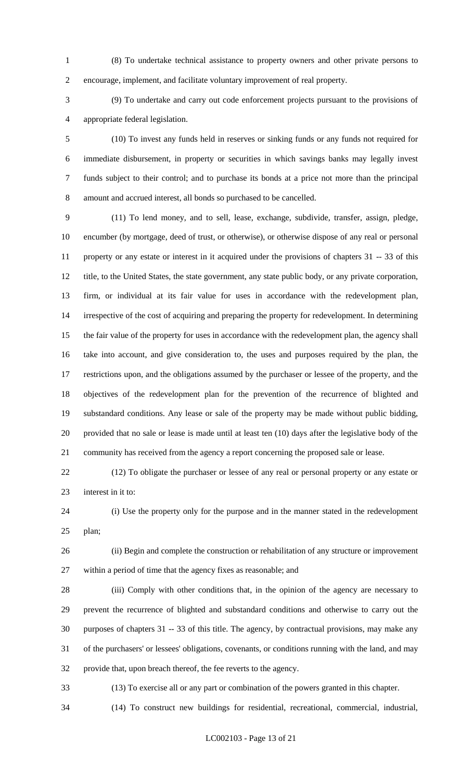(8) To undertake technical assistance to property owners and other private persons to encourage, implement, and facilitate voluntary improvement of real property.

 (9) To undertake and carry out code enforcement projects pursuant to the provisions of appropriate federal legislation.

 (10) To invest any funds held in reserves or sinking funds or any funds not required for immediate disbursement, in property or securities in which savings banks may legally invest funds subject to their control; and to purchase its bonds at a price not more than the principal amount and accrued interest, all bonds so purchased to be cancelled.

 (11) To lend money, and to sell, lease, exchange, subdivide, transfer, assign, pledge, encumber (by mortgage, deed of trust, or otherwise), or otherwise dispose of any real or personal property or any estate or interest in it acquired under the provisions of chapters 31 -- 33 of this title, to the United States, the state government, any state public body, or any private corporation, firm, or individual at its fair value for uses in accordance with the redevelopment plan, irrespective of the cost of acquiring and preparing the property for redevelopment. In determining the fair value of the property for uses in accordance with the redevelopment plan, the agency shall take into account, and give consideration to, the uses and purposes required by the plan, the restrictions upon, and the obligations assumed by the purchaser or lessee of the property, and the objectives of the redevelopment plan for the prevention of the recurrence of blighted and substandard conditions. Any lease or sale of the property may be made without public bidding, provided that no sale or lease is made until at least ten (10) days after the legislative body of the community has received from the agency a report concerning the proposed sale or lease.

 (12) To obligate the purchaser or lessee of any real or personal property or any estate or interest in it to:

 (i) Use the property only for the purpose and in the manner stated in the redevelopment plan;

 (ii) Begin and complete the construction or rehabilitation of any structure or improvement within a period of time that the agency fixes as reasonable; and

 (iii) Comply with other conditions that, in the opinion of the agency are necessary to prevent the recurrence of blighted and substandard conditions and otherwise to carry out the purposes of chapters 31 -- 33 of this title. The agency, by contractual provisions, may make any of the purchasers' or lessees' obligations, covenants, or conditions running with the land, and may provide that, upon breach thereof, the fee reverts to the agency.

(13) To exercise all or any part or combination of the powers granted in this chapter.

(14) To construct new buildings for residential, recreational, commercial, industrial,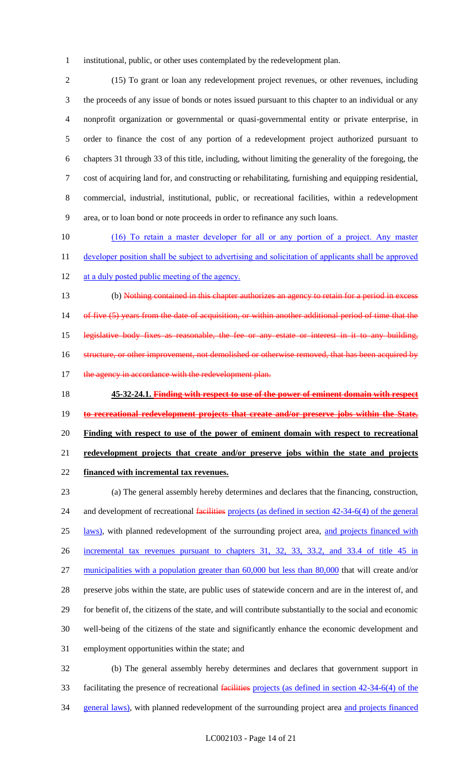institutional, public, or other uses contemplated by the redevelopment plan.

 (15) To grant or loan any redevelopment project revenues, or other revenues, including the proceeds of any issue of bonds or notes issued pursuant to this chapter to an individual or any nonprofit organization or governmental or quasi-governmental entity or private enterprise, in order to finance the cost of any portion of a redevelopment project authorized pursuant to chapters 31 through 33 of this title, including, without limiting the generality of the foregoing, the cost of acquiring land for, and constructing or rehabilitating, furnishing and equipping residential, commercial, industrial, institutional, public, or recreational facilities, within a redevelopment area, or to loan bond or note proceeds in order to refinance any such loans.

 (16) To retain a master developer for all or any portion of a project. Any master 11 developer position shall be subject to advertising and solicitation of applicants shall be approved 12 at a duly posted public meeting of the agency.

 (b) Nothing contained in this chapter authorizes an agency to retain for a period in excess 14 of five (5) years from the date of acquisition, or within another additional period of time that the legislative body fixes as reasonable, the fee or any estate or interest in it to any building, 16 structure, or other improvement, not demolished or otherwise removed, that has been acquired by 17 the agency in accordance with the redevelopment plan.

 **45-32-24.1. Finding with respect to use of the power of eminent domain with respect to recreational redevelopment projects that create and/or preserve jobs within the State. Finding with respect to use of the power of eminent domain with respect to recreational redevelopment projects that create and/or preserve jobs within the state and projects financed with incremental tax revenues.**

 (a) The general assembly hereby determines and declares that the financing, construction, 24 and development of recreational facilities projects (as defined in section 42-34-6(4) of the general 25 laws), with planned redevelopment of the surrounding project area, and projects financed with incremental tax revenues pursuant to chapters 31, 32, 33, 33.2, and 33.4 of title 45 in 27 municipalities with a population greater than 60,000 but less than 80,000 that will create and/or preserve jobs within the state, are public uses of statewide concern and are in the interest of, and for benefit of, the citizens of the state, and will contribute substantially to the social and economic well-being of the citizens of the state and significantly enhance the economic development and employment opportunities within the state; and (b) The general assembly hereby determines and declares that government support in

 facilitating the presence of recreational facilities projects (as defined in section 42-34-6(4) of the 34 general laws), with planned redevelopment of the surrounding project area and projects financed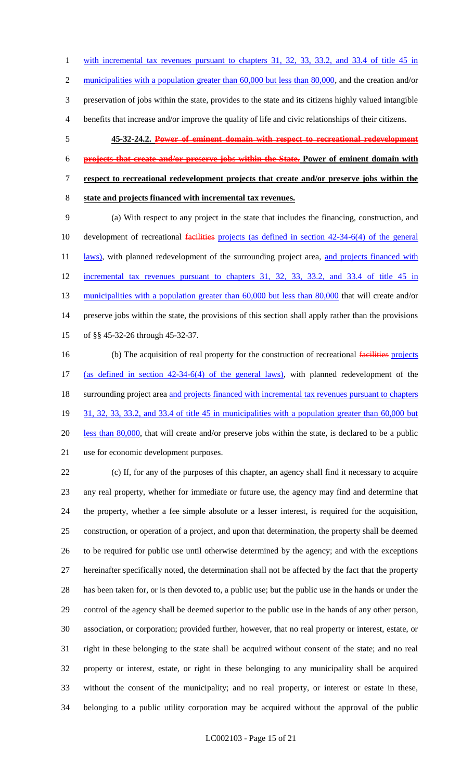with incremental tax revenues pursuant to chapters 31, 32, 33, 33.2, and 33.4 of title 45 in 2 municipalities with a population greater than 60,000 but less than 80,000, and the creation and/or preservation of jobs within the state, provides to the state and its citizens highly valued intangible benefits that increase and/or improve the quality of life and civic relationships of their citizens.

- **45-32-24.2. Power of eminent domain with respect to recreational redevelopment**
- **projects that create and/or preserve jobs within the State. Power of eminent domain with**
- **respect to recreational redevelopment projects that create and/or preserve jobs within the**
- 
- **state and projects financed with incremental tax revenues.**

 (a) With respect to any project in the state that includes the financing, construction, and 10 development of recreational facilities projects (as defined in section 42-34-6(4) of the general 11 laws), with planned redevelopment of the surrounding project area, and projects financed with incremental tax revenues pursuant to chapters 31, 32, 33, 33.2, and 33.4 of title 45 in 13 municipalities with a population greater than 60,000 but less than 80,000 that will create and/or preserve jobs within the state, the provisions of this section shall apply rather than the provisions of §§ 45-32-26 through 45-32-37.

16 (b) The acquisition of real property for the construction of recreational facilities projects (as defined in section 42-34-6(4) of the general laws), with planned redevelopment of the 18 surrounding project area and projects financed with incremental tax revenues pursuant to chapters 31, 32, 33, 33.2, and 33.4 of title 45 in municipalities with a population greater than 60,000 but less than 80,000, that will create and/or preserve jobs within the state, is declared to be a public use for economic development purposes.

 (c) If, for any of the purposes of this chapter, an agency shall find it necessary to acquire any real property, whether for immediate or future use, the agency may find and determine that the property, whether a fee simple absolute or a lesser interest, is required for the acquisition, construction, or operation of a project, and upon that determination, the property shall be deemed to be required for public use until otherwise determined by the agency; and with the exceptions hereinafter specifically noted, the determination shall not be affected by the fact that the property has been taken for, or is then devoted to, a public use; but the public use in the hands or under the control of the agency shall be deemed superior to the public use in the hands of any other person, association, or corporation; provided further, however, that no real property or interest, estate, or right in these belonging to the state shall be acquired without consent of the state; and no real property or interest, estate, or right in these belonging to any municipality shall be acquired without the consent of the municipality; and no real property, or interest or estate in these, belonging to a public utility corporation may be acquired without the approval of the public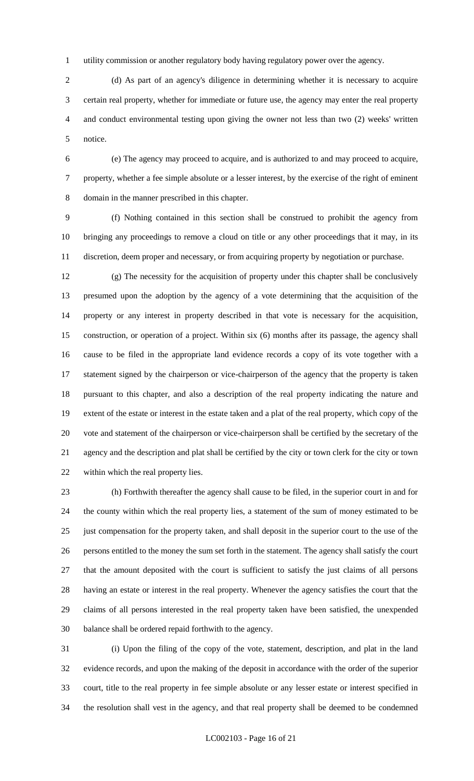utility commission or another regulatory body having regulatory power over the agency.

2 (d) As part of an agency's diligence in determining whether it is necessary to acquire certain real property, whether for immediate or future use, the agency may enter the real property and conduct environmental testing upon giving the owner not less than two (2) weeks' written notice.

 (e) The agency may proceed to acquire, and is authorized to and may proceed to acquire, property, whether a fee simple absolute or a lesser interest, by the exercise of the right of eminent domain in the manner prescribed in this chapter.

 (f) Nothing contained in this section shall be construed to prohibit the agency from bringing any proceedings to remove a cloud on title or any other proceedings that it may, in its discretion, deem proper and necessary, or from acquiring property by negotiation or purchase.

 (g) The necessity for the acquisition of property under this chapter shall be conclusively presumed upon the adoption by the agency of a vote determining that the acquisition of the property or any interest in property described in that vote is necessary for the acquisition, construction, or operation of a project. Within six (6) months after its passage, the agency shall cause to be filed in the appropriate land evidence records a copy of its vote together with a 17 statement signed by the chairperson or vice-chairperson of the agency that the property is taken pursuant to this chapter, and also a description of the real property indicating the nature and extent of the estate or interest in the estate taken and a plat of the real property, which copy of the vote and statement of the chairperson or vice-chairperson shall be certified by the secretary of the agency and the description and plat shall be certified by the city or town clerk for the city or town within which the real property lies.

 (h) Forthwith thereafter the agency shall cause to be filed, in the superior court in and for the county within which the real property lies, a statement of the sum of money estimated to be just compensation for the property taken, and shall deposit in the superior court to the use of the persons entitled to the money the sum set forth in the statement. The agency shall satisfy the court that the amount deposited with the court is sufficient to satisfy the just claims of all persons having an estate or interest in the real property. Whenever the agency satisfies the court that the claims of all persons interested in the real property taken have been satisfied, the unexpended balance shall be ordered repaid forthwith to the agency.

 (i) Upon the filing of the copy of the vote, statement, description, and plat in the land evidence records, and upon the making of the deposit in accordance with the order of the superior court, title to the real property in fee simple absolute or any lesser estate or interest specified in the resolution shall vest in the agency, and that real property shall be deemed to be condemned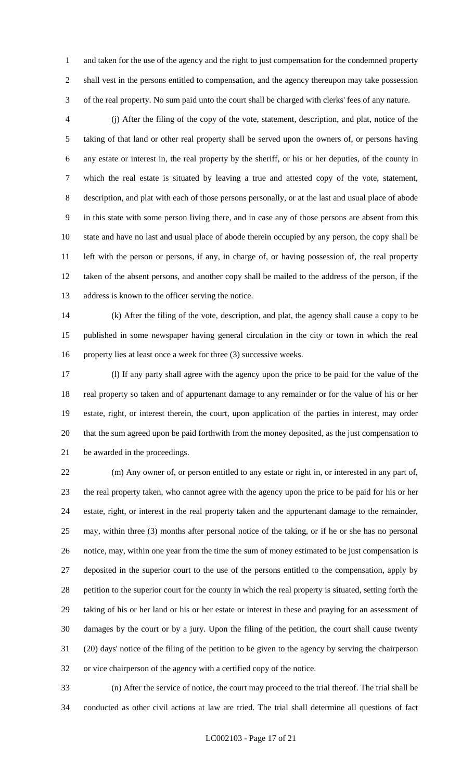and taken for the use of the agency and the right to just compensation for the condemned property shall vest in the persons entitled to compensation, and the agency thereupon may take possession of the real property. No sum paid unto the court shall be charged with clerks' fees of any nature.

 (j) After the filing of the copy of the vote, statement, description, and plat, notice of the taking of that land or other real property shall be served upon the owners of, or persons having any estate or interest in, the real property by the sheriff, or his or her deputies, of the county in which the real estate is situated by leaving a true and attested copy of the vote, statement, description, and plat with each of those persons personally, or at the last and usual place of abode in this state with some person living there, and in case any of those persons are absent from this state and have no last and usual place of abode therein occupied by any person, the copy shall be left with the person or persons, if any, in charge of, or having possession of, the real property taken of the absent persons, and another copy shall be mailed to the address of the person, if the address is known to the officer serving the notice.

 (k) After the filing of the vote, description, and plat, the agency shall cause a copy to be published in some newspaper having general circulation in the city or town in which the real property lies at least once a week for three (3) successive weeks.

 (l) If any party shall agree with the agency upon the price to be paid for the value of the real property so taken and of appurtenant damage to any remainder or for the value of his or her estate, right, or interest therein, the court, upon application of the parties in interest, may order that the sum agreed upon be paid forthwith from the money deposited, as the just compensation to be awarded in the proceedings.

 (m) Any owner of, or person entitled to any estate or right in, or interested in any part of, the real property taken, who cannot agree with the agency upon the price to be paid for his or her estate, right, or interest in the real property taken and the appurtenant damage to the remainder, may, within three (3) months after personal notice of the taking, or if he or she has no personal notice, may, within one year from the time the sum of money estimated to be just compensation is deposited in the superior court to the use of the persons entitled to the compensation, apply by 28 petition to the superior court for the county in which the real property is situated, setting forth the taking of his or her land or his or her estate or interest in these and praying for an assessment of damages by the court or by a jury. Upon the filing of the petition, the court shall cause twenty (20) days' notice of the filing of the petition to be given to the agency by serving the chairperson or vice chairperson of the agency with a certified copy of the notice.

 (n) After the service of notice, the court may proceed to the trial thereof. The trial shall be conducted as other civil actions at law are tried. The trial shall determine all questions of fact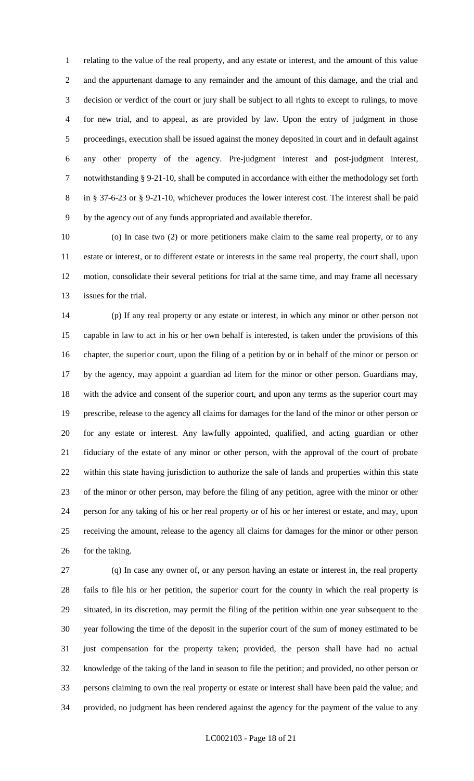relating to the value of the real property, and any estate or interest, and the amount of this value and the appurtenant damage to any remainder and the amount of this damage, and the trial and decision or verdict of the court or jury shall be subject to all rights to except to rulings, to move for new trial, and to appeal, as are provided by law. Upon the entry of judgment in those proceedings, execution shall be issued against the money deposited in court and in default against any other property of the agency. Pre-judgment interest and post-judgment interest, notwithstanding § 9-21-10, shall be computed in accordance with either the methodology set forth in § 37-6-23 or § 9-21-10, whichever produces the lower interest cost. The interest shall be paid by the agency out of any funds appropriated and available therefor.

 (o) In case two (2) or more petitioners make claim to the same real property, or to any estate or interest, or to different estate or interests in the same real property, the court shall, upon motion, consolidate their several petitions for trial at the same time, and may frame all necessary issues for the trial.

 (p) If any real property or any estate or interest, in which any minor or other person not capable in law to act in his or her own behalf is interested, is taken under the provisions of this chapter, the superior court, upon the filing of a petition by or in behalf of the minor or person or by the agency, may appoint a guardian ad litem for the minor or other person. Guardians may, with the advice and consent of the superior court, and upon any terms as the superior court may prescribe, release to the agency all claims for damages for the land of the minor or other person or for any estate or interest. Any lawfully appointed, qualified, and acting guardian or other fiduciary of the estate of any minor or other person, with the approval of the court of probate within this state having jurisdiction to authorize the sale of lands and properties within this state of the minor or other person, may before the filing of any petition, agree with the minor or other person for any taking of his or her real property or of his or her interest or estate, and may, upon receiving the amount, release to the agency all claims for damages for the minor or other person 26 for the taking.

 (q) In case any owner of, or any person having an estate or interest in, the real property fails to file his or her petition, the superior court for the county in which the real property is situated, in its discretion, may permit the filing of the petition within one year subsequent to the year following the time of the deposit in the superior court of the sum of money estimated to be just compensation for the property taken; provided, the person shall have had no actual knowledge of the taking of the land in season to file the petition; and provided, no other person or persons claiming to own the real property or estate or interest shall have been paid the value; and provided, no judgment has been rendered against the agency for the payment of the value to any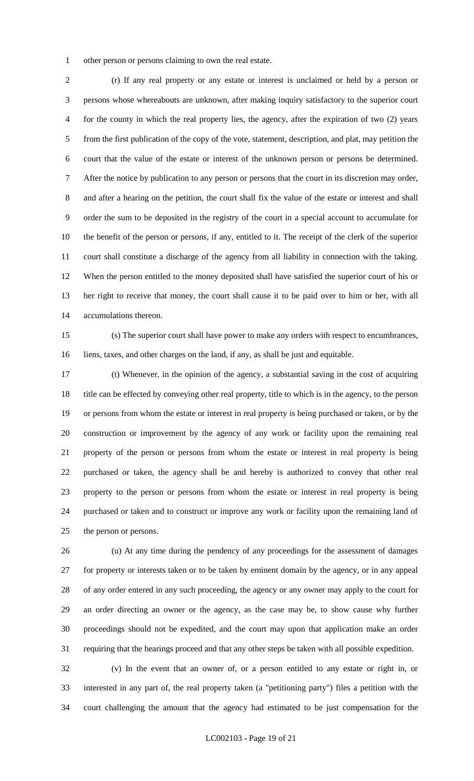other person or persons claiming to own the real estate.

 (r) If any real property or any estate or interest is unclaimed or held by a person or persons whose whereabouts are unknown, after making inquiry satisfactory to the superior court for the county in which the real property lies, the agency, after the expiration of two (2) years from the first publication of the copy of the vote, statement, description, and plat, may petition the court that the value of the estate or interest of the unknown person or persons be determined. After the notice by publication to any person or persons that the court in its discretion may order, and after a hearing on the petition, the court shall fix the value of the estate or interest and shall order the sum to be deposited in the registry of the court in a special account to accumulate for the benefit of the person or persons, if any, entitled to it. The receipt of the clerk of the superior court shall constitute a discharge of the agency from all liability in connection with the taking. When the person entitled to the money deposited shall have satisfied the superior court of his or her right to receive that money, the court shall cause it to be paid over to him or her, with all accumulations thereon.

 (s) The superior court shall have power to make any orders with respect to encumbrances, liens, taxes, and other charges on the land, if any, as shall be just and equitable.

 (t) Whenever, in the opinion of the agency, a substantial saving in the cost of acquiring title can be effected by conveying other real property, title to which is in the agency, to the person or persons from whom the estate or interest in real property is being purchased or taken, or by the construction or improvement by the agency of any work or facility upon the remaining real property of the person or persons from whom the estate or interest in real property is being purchased or taken, the agency shall be and hereby is authorized to convey that other real property to the person or persons from whom the estate or interest in real property is being purchased or taken and to construct or improve any work or facility upon the remaining land of the person or persons.

 (u) At any time during the pendency of any proceedings for the assessment of damages for property or interests taken or to be taken by eminent domain by the agency, or in any appeal of any order entered in any such proceeding, the agency or any owner may apply to the court for an order directing an owner or the agency, as the case may be, to show cause why further proceedings should not be expedited, and the court may upon that application make an order requiring that the hearings proceed and that any other steps be taken with all possible expedition.

 (v) In the event that an owner of, or a person entitled to any estate or right in, or interested in any part of, the real property taken (a "petitioning party") files a petition with the court challenging the amount that the agency had estimated to be just compensation for the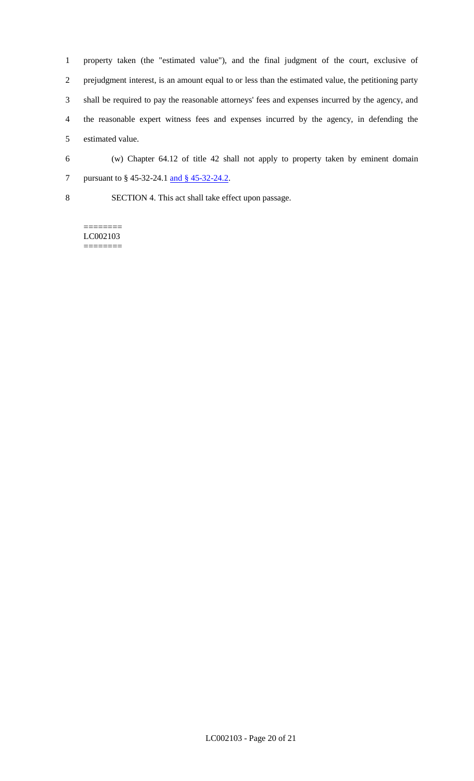property taken (the "estimated value"), and the final judgment of the court, exclusive of prejudgment interest, is an amount equal to or less than the estimated value, the petitioning party shall be required to pay the reasonable attorneys' fees and expenses incurred by the agency, and the reasonable expert witness fees and expenses incurred by the agency, in defending the estimated value.

6 (w) Chapter 64.12 of title 42 shall not apply to property taken by eminent domain 7 pursuant to § 45-32-24.1 <u>and § 45-32-24.2</u>.

8 SECTION 4. This act shall take effect upon passage.

======== LC002103 ========